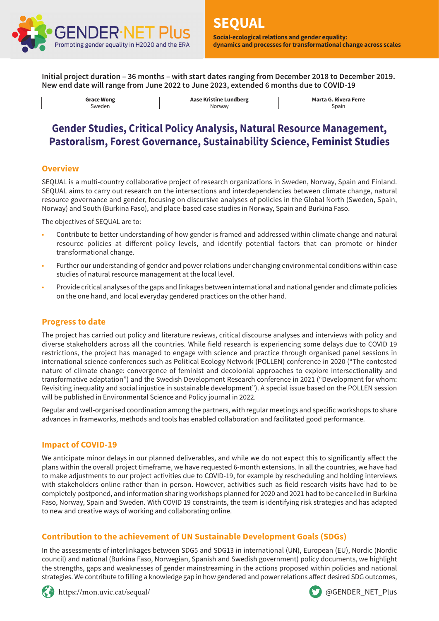

**Initial project duration – 36 months – with start dates ranging from December 2018 to December 2019. New end date will range from June 2022 to June 2023, extended 6 months due to COVID-19**

> **Grace Wong** Sweden

**Aase Kristine Lundberg** Norway

**Marta G. Rivera Ferre** Spain

# **Gender Studies, Critical Policy Analysis, Natural Resource Management, Pastoralism, Forest Governance, Sustainability Science, Feminist Studies**

## **Overview**

SEQUAL is a multi-country collaborative project of research organizations in Sweden, Norway, Spain and Finland. SEQUAL aims to carry out research on the intersections and interdependencies between climate change, natural resource governance and gender, focusing on discursive analyses of policies in the Global North (Sweden, Spain, Norway) and South (Burkina Faso), and place-based case studies in Norway, Spain and Burkina Faso.

The objectives of SEQUAL are to:

- Contribute to better understanding of how gender is framed and addressed within climate change and natural resource policies at different policy levels, and identify potential factors that can promote or hinder transformational change.
- Further our understanding of gender and power relations under changing environmental conditions within case studies of natural resource management at the local level.
- Provide critical analyses of the gaps and linkages between international and national gender and climate policies on the one hand, and local everyday gendered practices on the other hand.

## **Progress to date**

The project has carried out policy and literature reviews, critical discourse analyses and interviews with policy and diverse stakeholders across all the countries. While field research is experiencing some delays due to COVID 19 restrictions, the project has managed to engage with science and practice through organised panel sessions in international science conferences such as Political Ecology Network (POLLEN) conference in 2020 ("The contested nature of climate change: convergence of feminist and decolonial approaches to explore intersectionality and transformative adaptation") and the Swedish Development Research conference in 2021 ("Development for whom: Revisiting inequality and social injustice in sustainable development"). A special issue based on the POLLEN session will be published in Environmental Science and Policy journal in 2022.

Regular and well-organised coordination among the partners, with regular meetings and specific workshops to share advances in frameworks, methods and tools has enabled collaboration and facilitated good performance.

## **Impact of COVID-19**

We anticipate minor delays in our planned deliverables, and while we do not expect this to significantly affect the plans within the overall project timeframe, we have requested 6-month extensions. In all the countries, we have had to make adjustments to our project activities due to COVID-19, for example by rescheduling and holding interviews with stakeholders online rather than in person. However, activities such as field research visits have had to be completely postponed, and information sharing workshops planned for 2020 and 2021 had to be cancelled in Burkina Faso, Norway, Spain and Sweden. With COVID 19 constraints, the team is identifying risk strategies and has adapted to new and creative ways of working and collaborating online.

# **Contribution to the achievement of UN Sustainable Development Goals (SDGs)**

In the assessments of interlinkages between SDG5 and SDG13 in international (UN), European (EU), Nordic (Nordic council) and national (Burkina Faso, Norwegian, Spanish and Swedish government) policy documents, we highlight the strengths, gaps and weaknesses of gender mainstreaming in the actions proposed within policies and national strategies. We contribute to filling a knowledge gap in how gendered and power relations affect desired SDG outcomes,